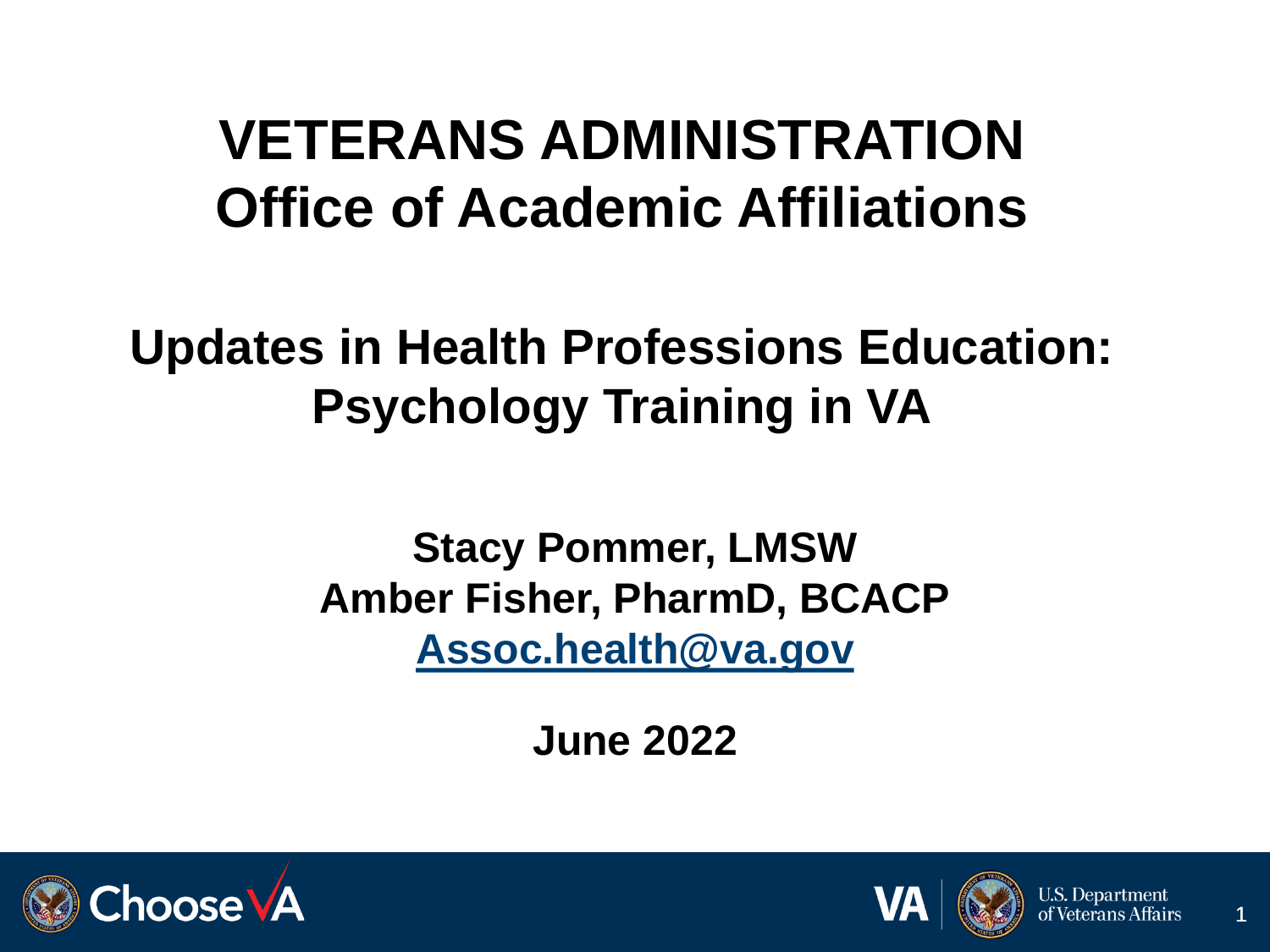### **VETERANS ADMINISTRATION Office of Academic Affiliations**

#### **Updates in Health Professions Education: Psychology Training in VA**

**Stacy Pommer, LMSW Amber Fisher, PharmD, BCACP [Assoc.health@va.gov](mailto:Assoc.health@va.gov)**

**June 2022**



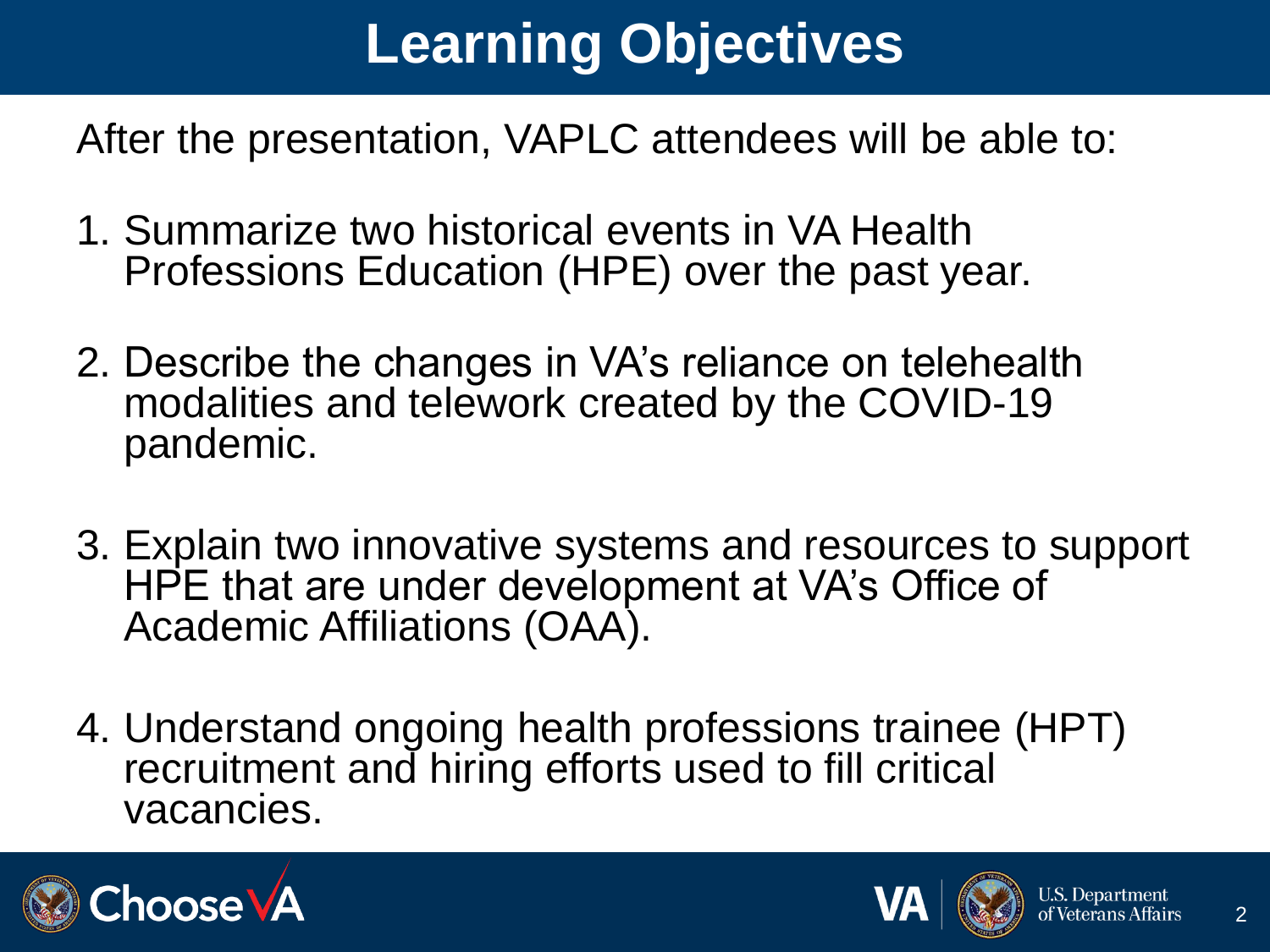# **Learning Objectives**

After the presentation, VAPLC attendees will be able to:

- 1. Summarize two historical events in VA Health Professions Education (HPE) over the past year.
- 2. Describe the changes in VA's reliance on telehealth modalities and telework created by the COVID-19 pandemic.
- 3. Explain two innovative systems and resources to support HPE that are under development at VA's Office of Academic Affiliations (OAA).
- 4. Understand ongoing health professions trainee (HPT) recruitment and hiring efforts used to fill critical vacancies.



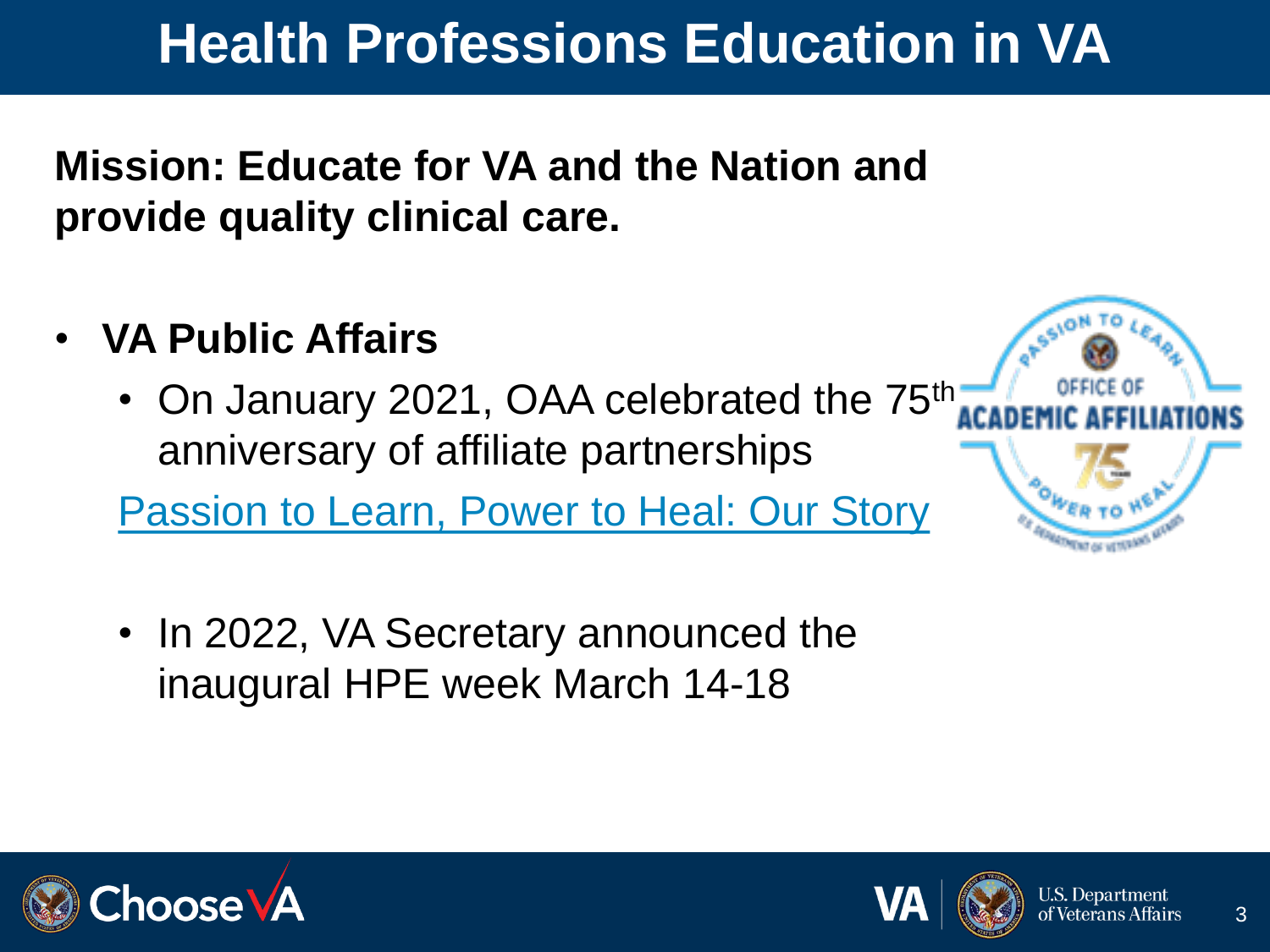#### **Health Professions Education in VA**

**Mission: Educate for VA and the Nation and provide quality clinical care.** 

- **VA Public Affairs**
	- On January 2021, OAA celebrated the 75<sup>th</sup> anniversary of affiliate partnerships

[Passion to Learn, Power to Heal: Our Story](https://content.yudu.com/web/448fx/0A448g9/75thAnniversary2021/html/index.html?origin=reader)

• In 2022, VA Secretary announced the inaugural HPE week March 14-18



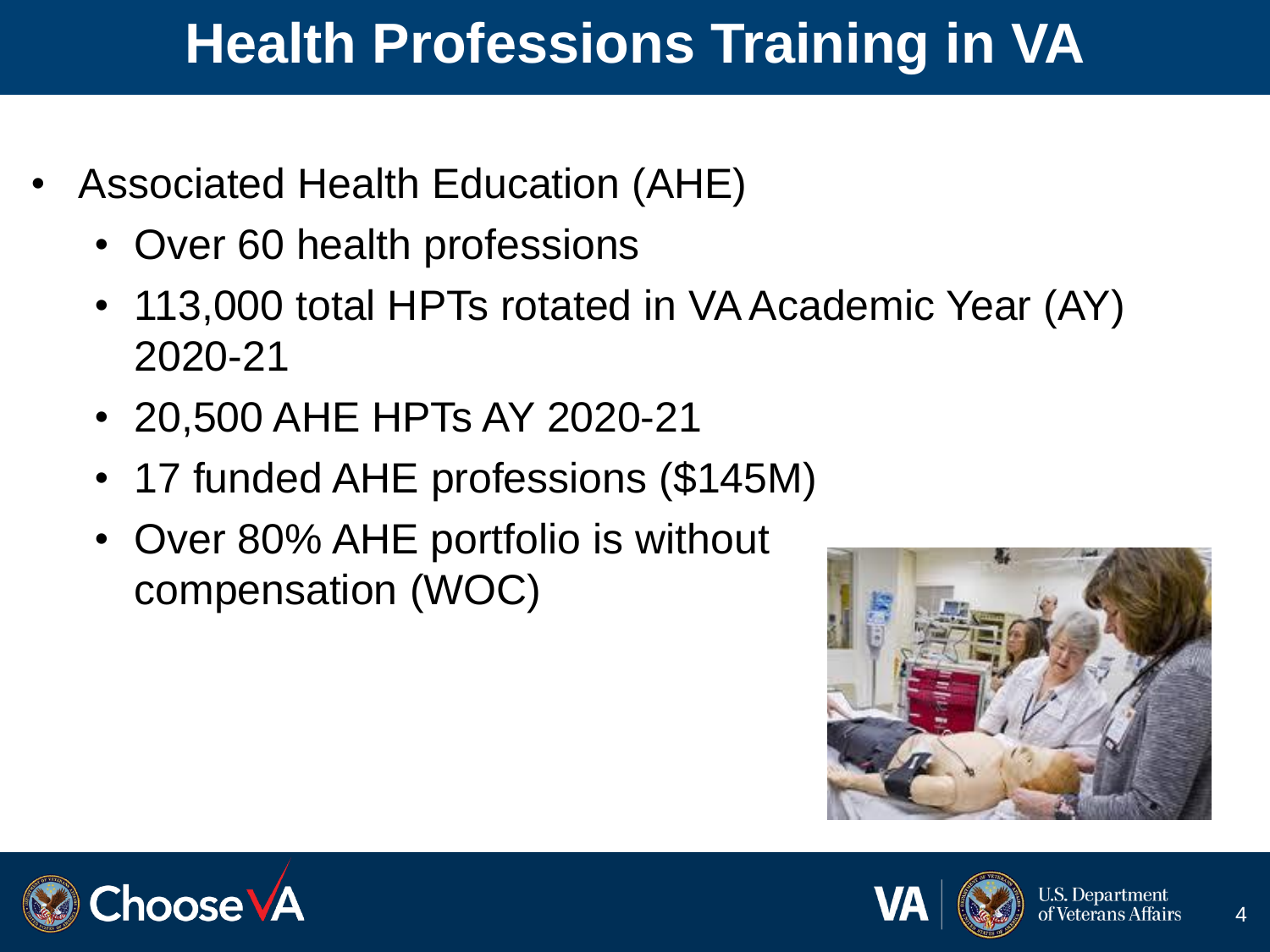## **Health Professions Training in VA**

- Associated Health Education (AHE)
	- Over 60 health professions
	- 113,000 total HPTs rotated in VA Academic Year (AY) 2020-21
	- 20,500 AHE HPTs AY 2020-21
	- 17 funded AHE professions (\$145M)
	- Over 80% AHE portfolio is without compensation (WOC)





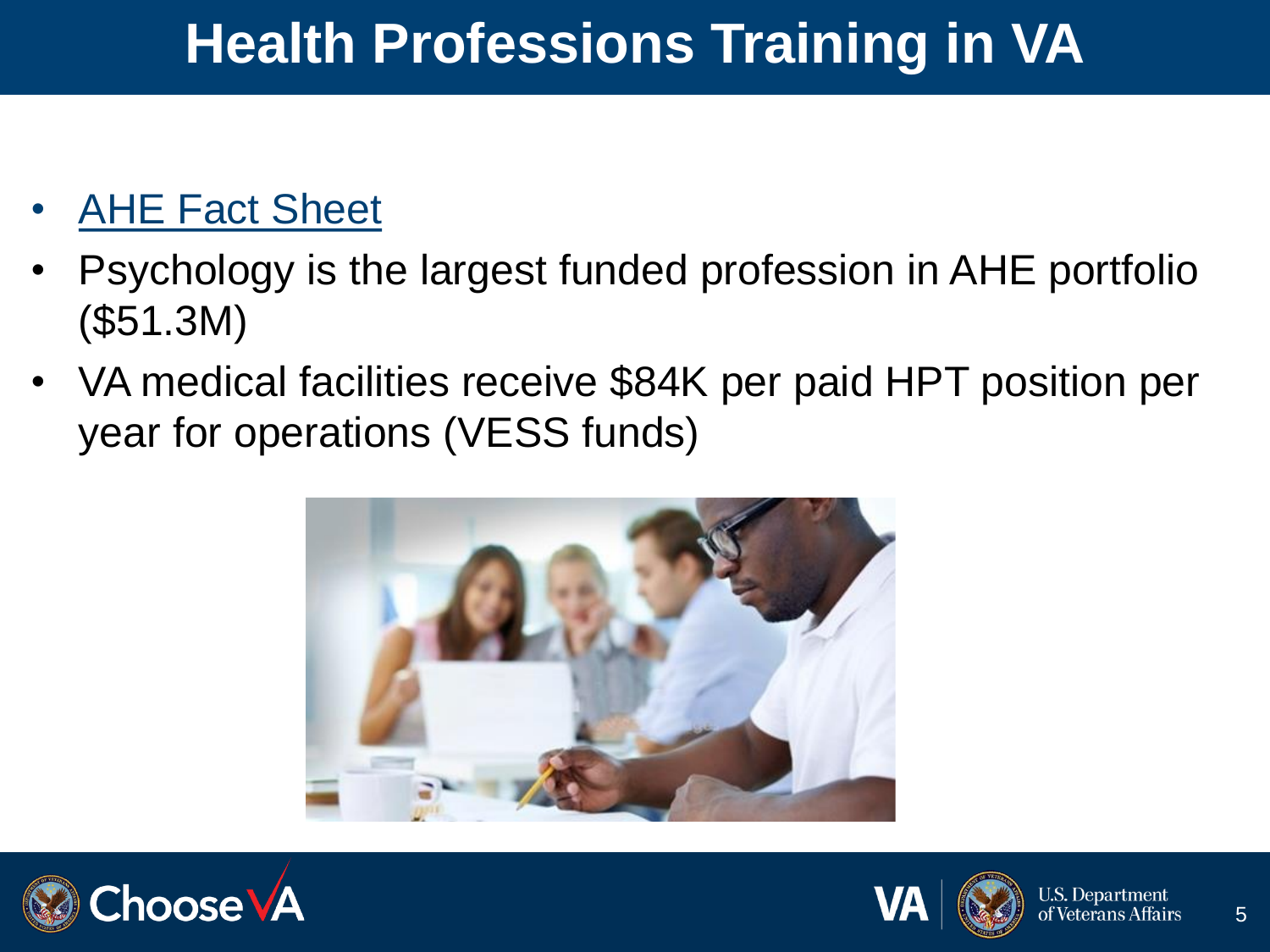### **Health Professions Training in VA**

#### **[AHE Fact Sheet](https://dvagov.sharepoint.com/sites/VHAOAA/public/Stats/Forms/Thumbnails.aspx?id=%2Fsites%2FVHAOAA%2Fpublic%2FStats%2FOAA%20Service%20Line%20Fact%20Sheet_AHE_CY22%20FINAL%2Epdf&parent=%2Fsites%2FVHAOAA%2Fpublic%2FStats)**

- Psychology is the largest funded profession in AHE portfolio (\$51.3M)
- VA medical facilities receive \$84K per paid HPT position per year for operations (VESS funds)





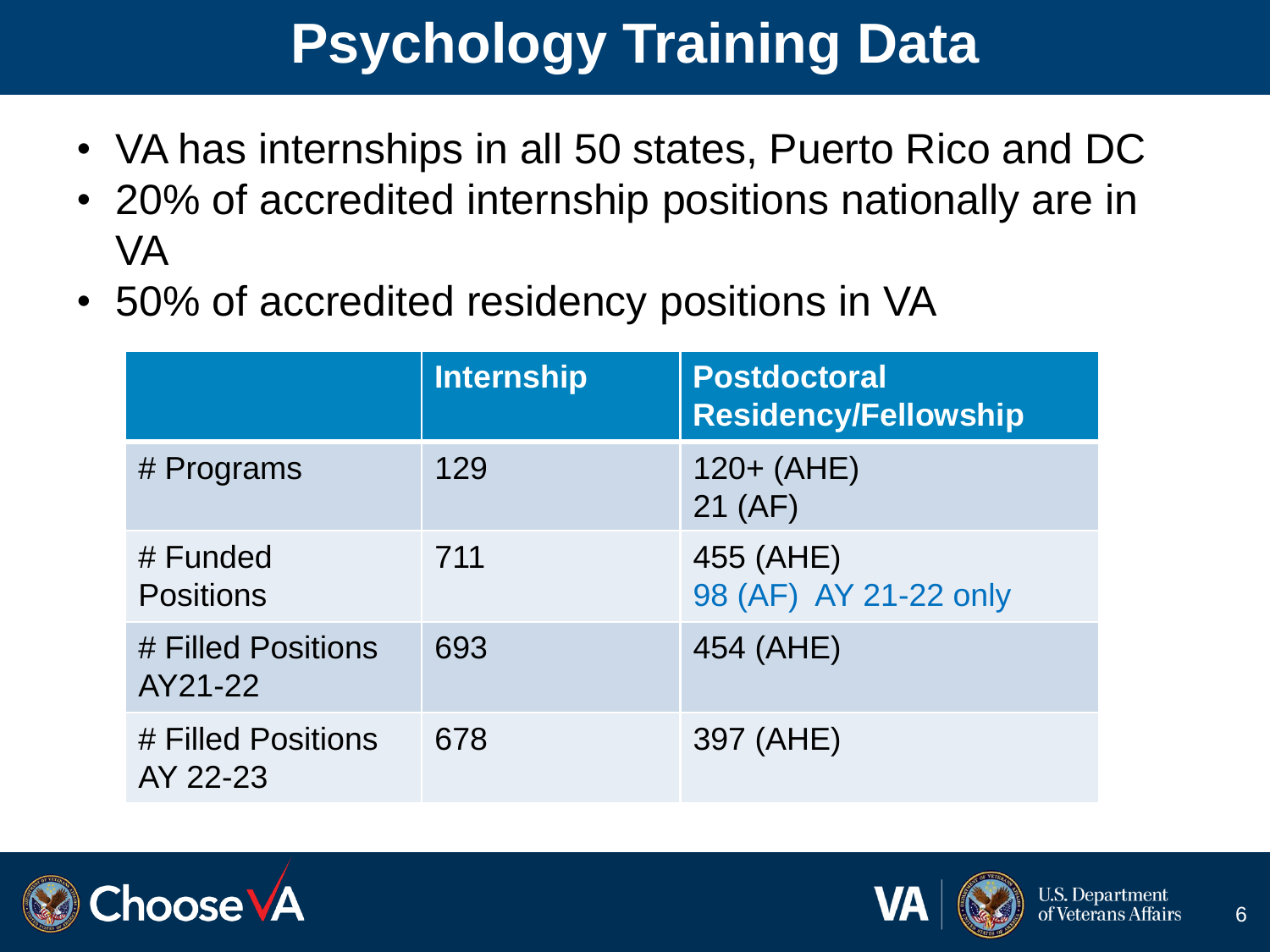# **Psychology Training Data**

- VA has internships in all 50 states, Puerto Rico and DC
- 20% of accredited internship positions nationally are in VA
- 50% of accredited residency positions in VA

|                                | <b>Internship</b> | <b>Postdoctoral</b><br><b>Residency/Fellowship</b> |
|--------------------------------|-------------------|----------------------------------------------------|
| # Programs                     | 129               | $120 + (AHE)$<br>21 (AF)                           |
| # Funded<br><b>Positions</b>   | 711               | 455 (AHE)<br>98 (AF) AY 21-22 only                 |
| # Filled Positions<br>AY21-22  | 693               | 454 (AHE)                                          |
| # Filled Positions<br>AY 22-23 | 678               | 397 (AHE)                                          |



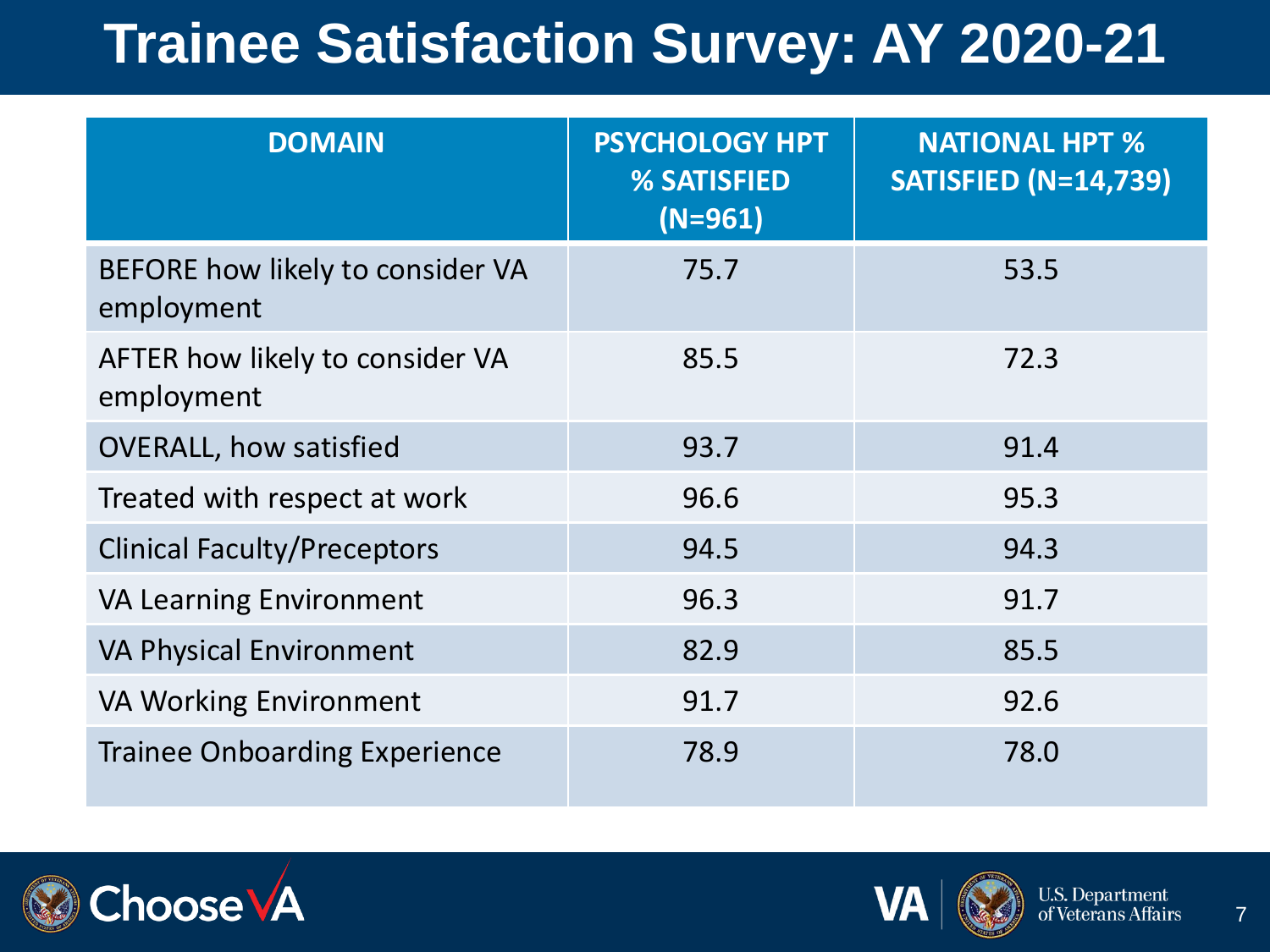#### **Trainee Satisfaction Survey: AY 2020-21**

| <b>DOMAIN</b>                                  | <b>PSYCHOLOGY HPT</b><br>% SATISFIED<br>$(N=961)$ | <b>NATIONAL HPT %</b><br><b>SATISFIED (N=14,739)</b> |
|------------------------------------------------|---------------------------------------------------|------------------------------------------------------|
| BEFORE how likely to consider VA<br>employment | 75.7                                              | 53.5                                                 |
| AFTER how likely to consider VA<br>employment  | 85.5                                              | 72.3                                                 |
| <b>OVERALL, how satisfied</b>                  | 93.7                                              | 91.4                                                 |
| Treated with respect at work                   | 96.6                                              | 95.3                                                 |
| <b>Clinical Faculty/Preceptors</b>             | 94.5                                              | 94.3                                                 |
| <b>VA Learning Environment</b>                 | 96.3                                              | 91.7                                                 |
| <b>VA Physical Environment</b>                 | 82.9                                              | 85.5                                                 |
| <b>VA Working Environment</b>                  | 91.7                                              | 92.6                                                 |
| <b>Trainee Onboarding Experience</b>           | 78.9                                              | 78.0                                                 |



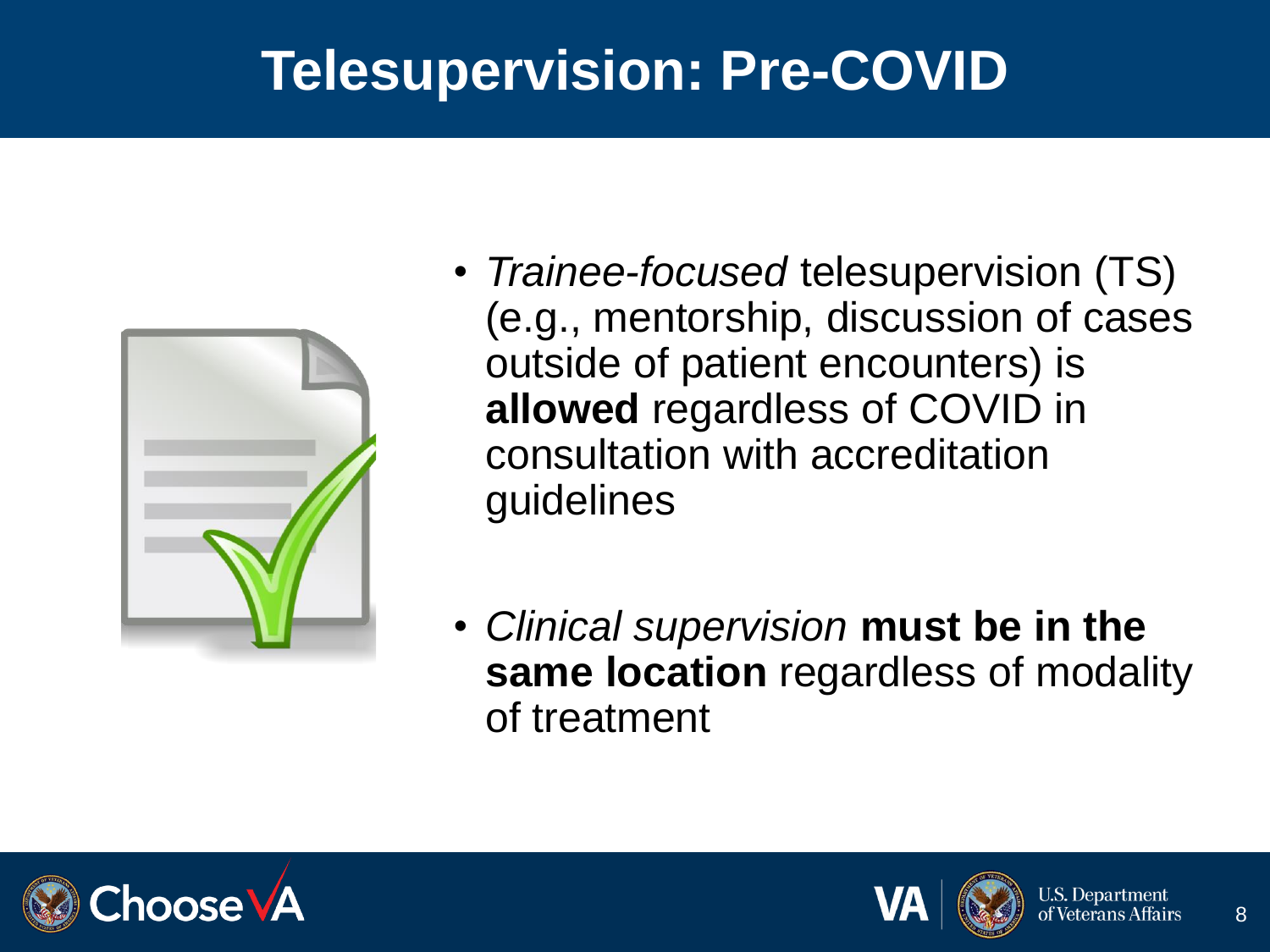#### **Telesupervision: Pre-COVID**



- *Trainee-focused* telesupervision (TS) (e.g., mentorship, discussion of cases outside of patient encounters) is **allowed** regardless of COVID in consultation with accreditation guidelines
- *Clinical supervision* **must be in the same location** regardless of modality of treatment



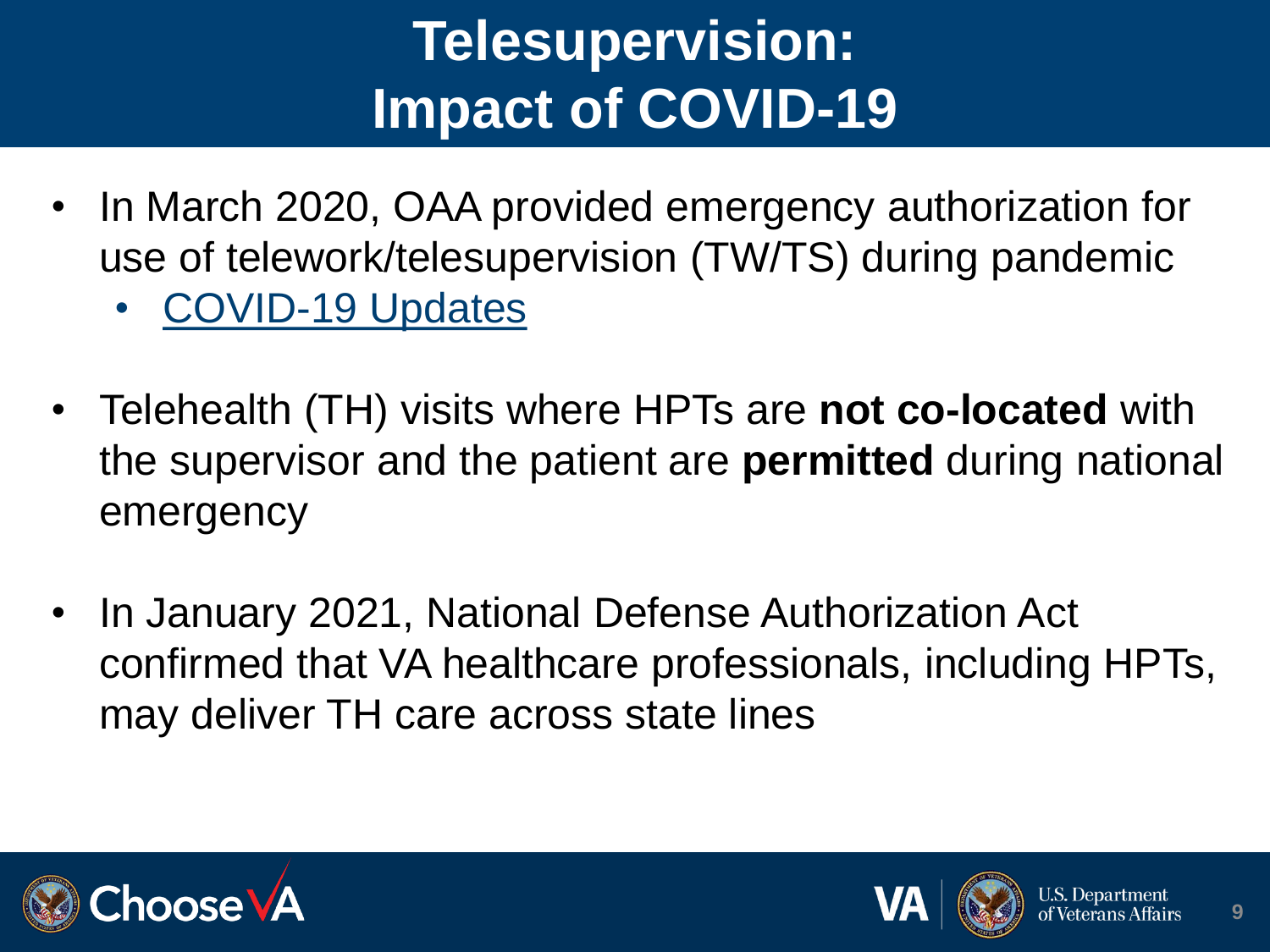# **Telesupervision: Impact of COVID-19**

- In March 2020, OAA provided emergency authorization for use of telework/telesupervision (TW/TS) during pandemic
	- [COVID-19 Updates](https://dvagov.sharepoint.com/sites/VHAOAA/public/SitePages/COVID-19%20Updates.aspx)
- Telehealth (TH) visits where HPTs are **not co-located** with the supervisor and the patient are **permitted** during national emergency
- In January 2021, National Defense Authorization Act confirmed that VA healthcare professionals, including HPTs, may deliver TH care across state lines



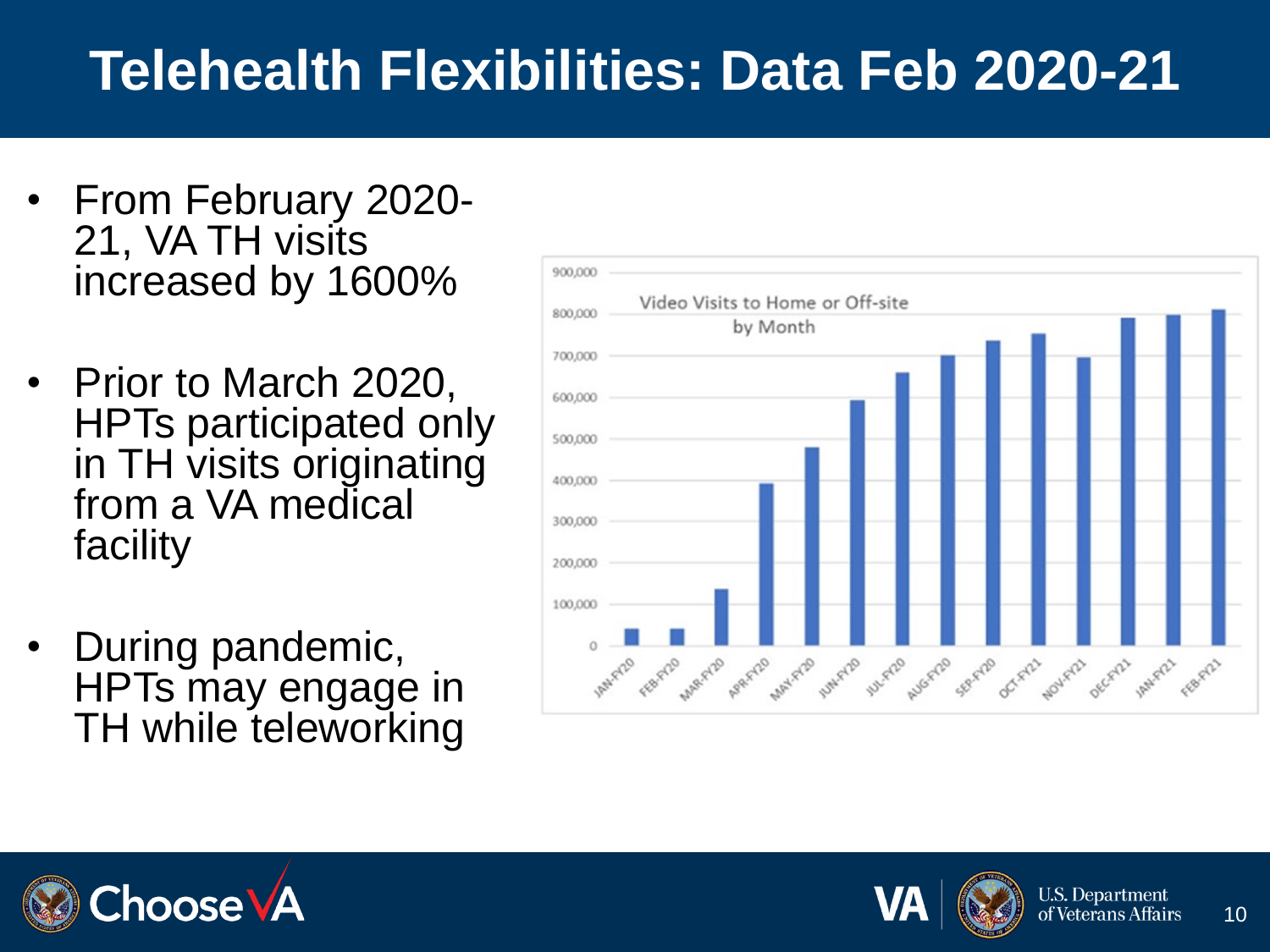#### **Telehealth Flexibilities: Data Feb 2020-21**

- From February 2020- 21, VA TH visits increased by 1600%
- Prior to March 2020, HPTs participated only in TH visits originating from a VA medical facility
- During pandemic, HPTs may engage in TH while teleworking





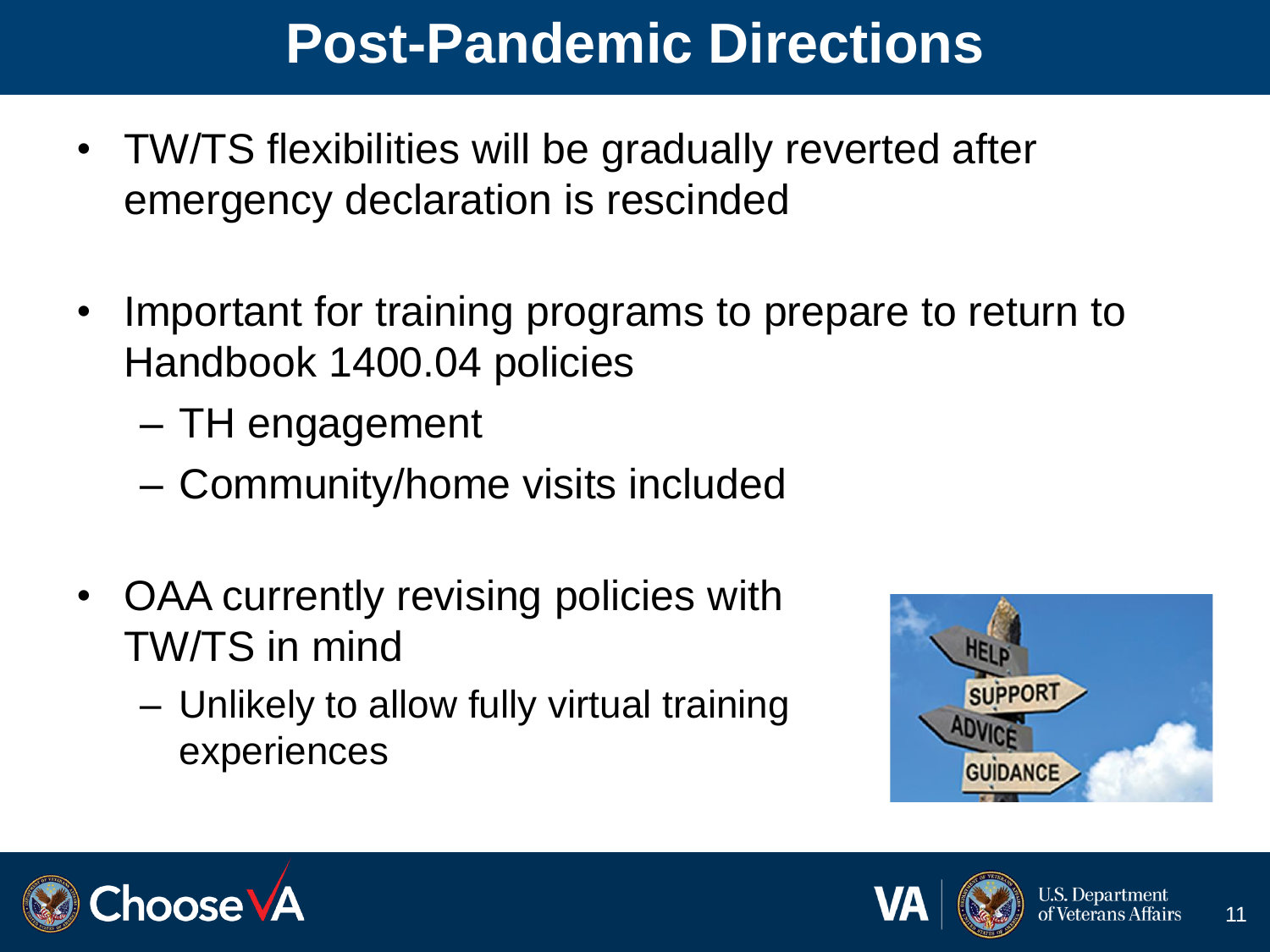#### **Post-Pandemic Directions**

- TW/TS flexibilities will be gradually reverted after emergency declaration is rescinded
- Important for training programs to prepare to return to Handbook 1400.04 policies
	- TH engagement
	- Community/home visits included
- OAA currently revising policies with TW/TS in mind
	- Unlikely to allow fully virtual training experiences





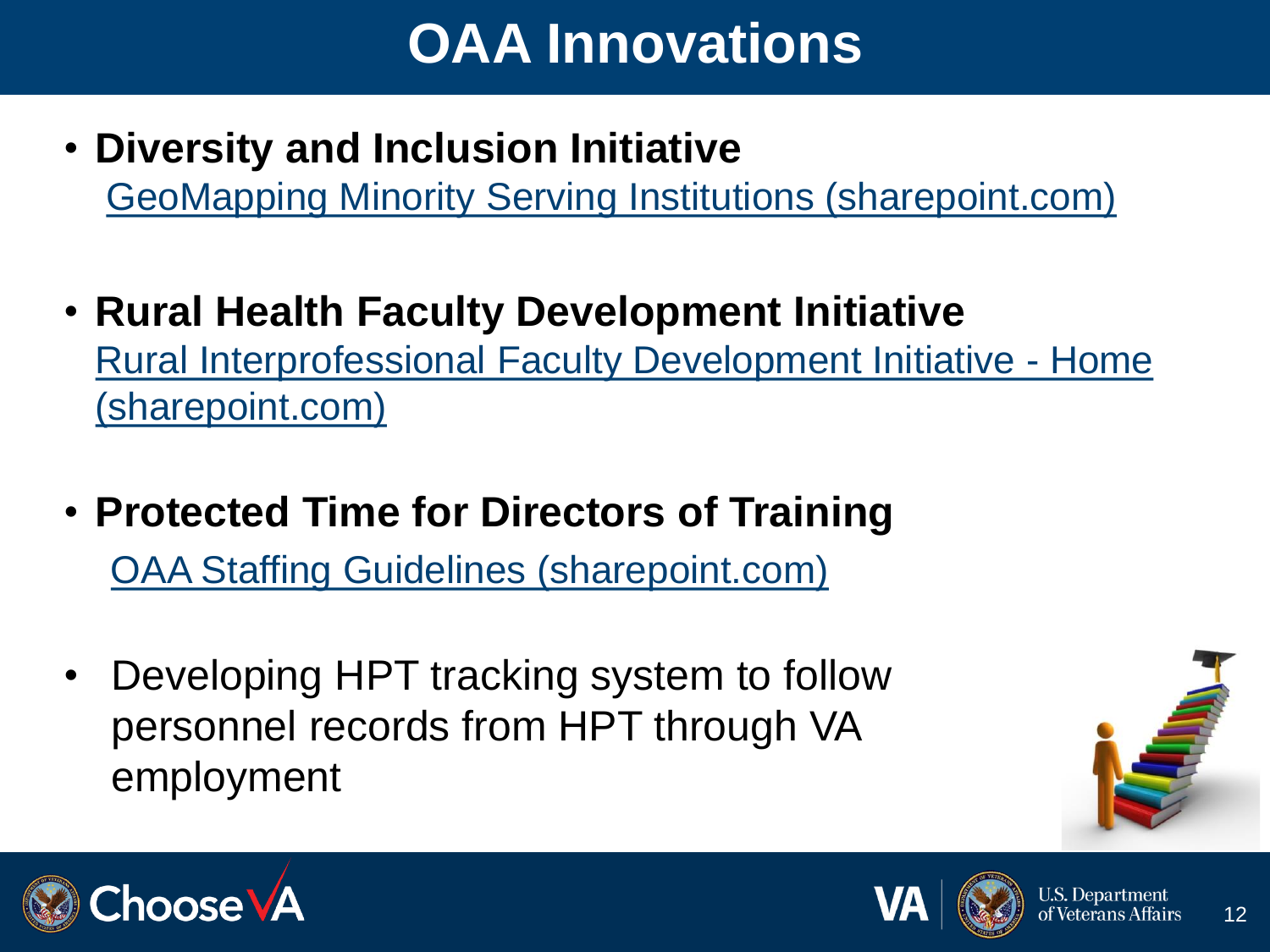### **OAA Innovations**

- **Diversity and Inclusion Initiative**  GeoMapping [Minority Serving Institutions \(sharepoint.com\)](https://dvagov.sharepoint.com/sites/VHAOAA/public/SitePages/Arc-GIS-Map.aspx)
- **Rural Health Faculty Development Initiative** [Rural Interprofessional Faculty Development Initiative -](https://dvagov.sharepoint.com/sites/VHAoaaSitePortal/RIFDI) Home (sharepoint.com)
- **Protected Time for Directors of Training** [OAA Staffing Guidelines \(sharepoint.com\)](https://dvagov.sharepoint.com/sites/VHAOAA/public/SitePages/OAA-Staffing-Guidelines.aspx)
- Developing HPT tracking system to follow personnel records from HPT through VA employment





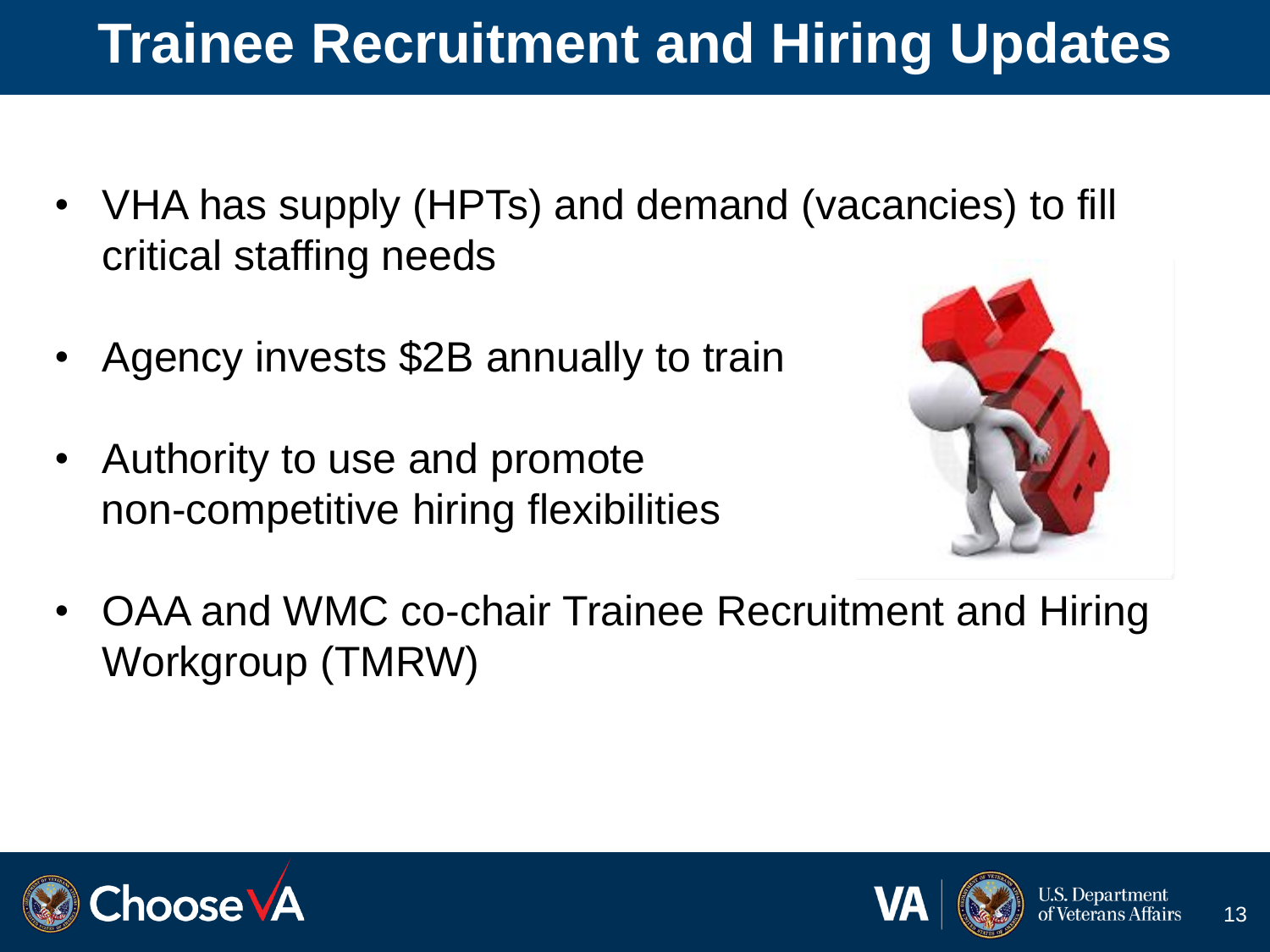# **Trainee Recruitment and Hiring Updates**

- VHA has supply (HPTs) and demand (vacancies) to fill critical staffing needs
- Agency invests \$2B annually to train
- Authority to use and promote non-competitive hiring flexibilities



• OAA and WMC co-chair Trainee Recruitment and Hiring Workgroup (TMRW)



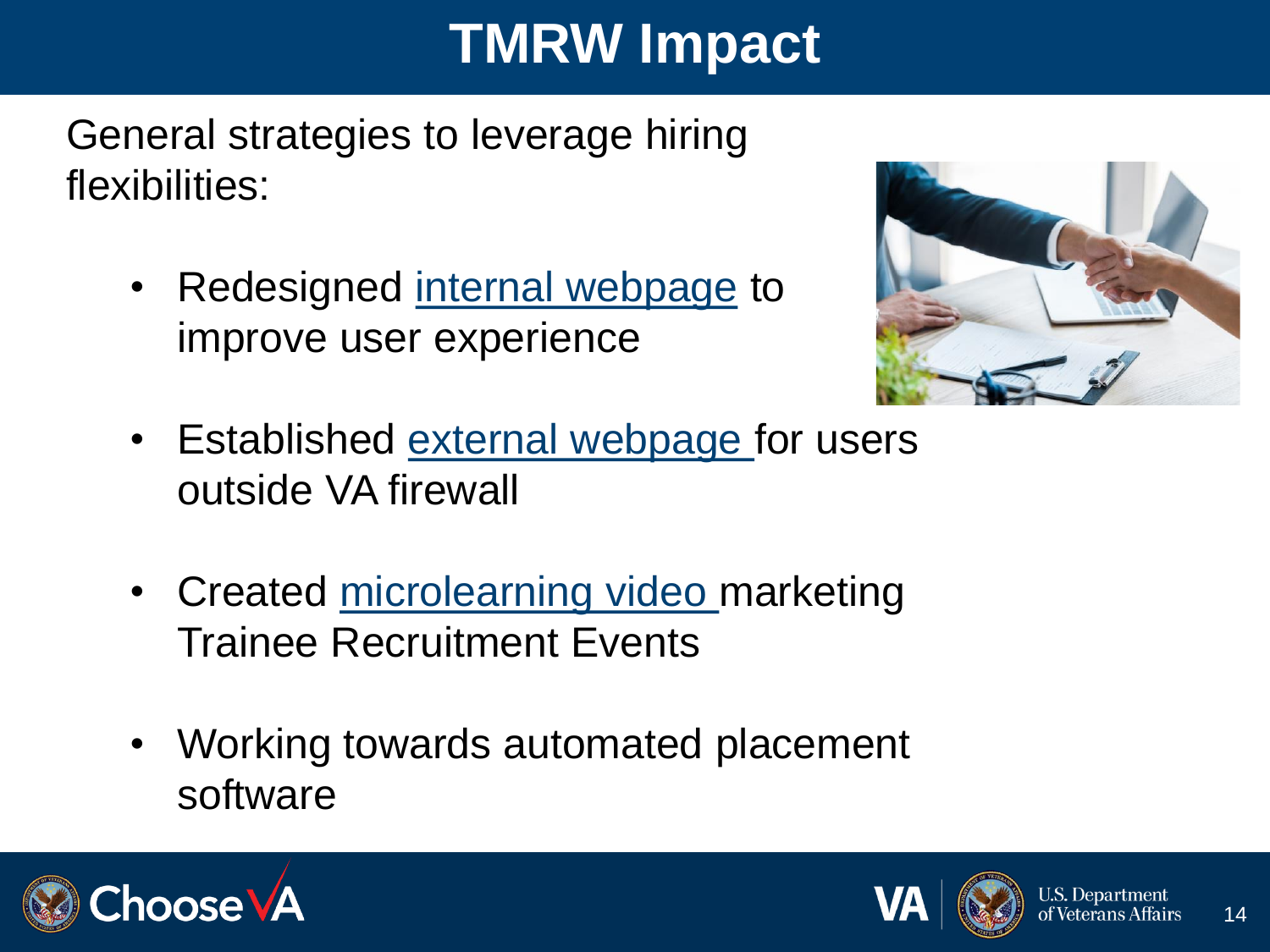### **TMRW Impact**

General strategies to leverage hiring flexibilities:

Redesigned [internal webpage](https://dvagov.sharepoint.com/sites/VHAOAA/public/SitePages/CareerOpportunities.aspx) to improve user experience



- Established [external webpage f](https://www.va.gov/oaa/careers.asp)or users outside VA firewall
- Created [microlearning video m](https://players.brightcove.net/2851863979001/default_default/index.html?videoId=6205345580001)arketing Trainee Recruitment Events
- Working towards automated placement software



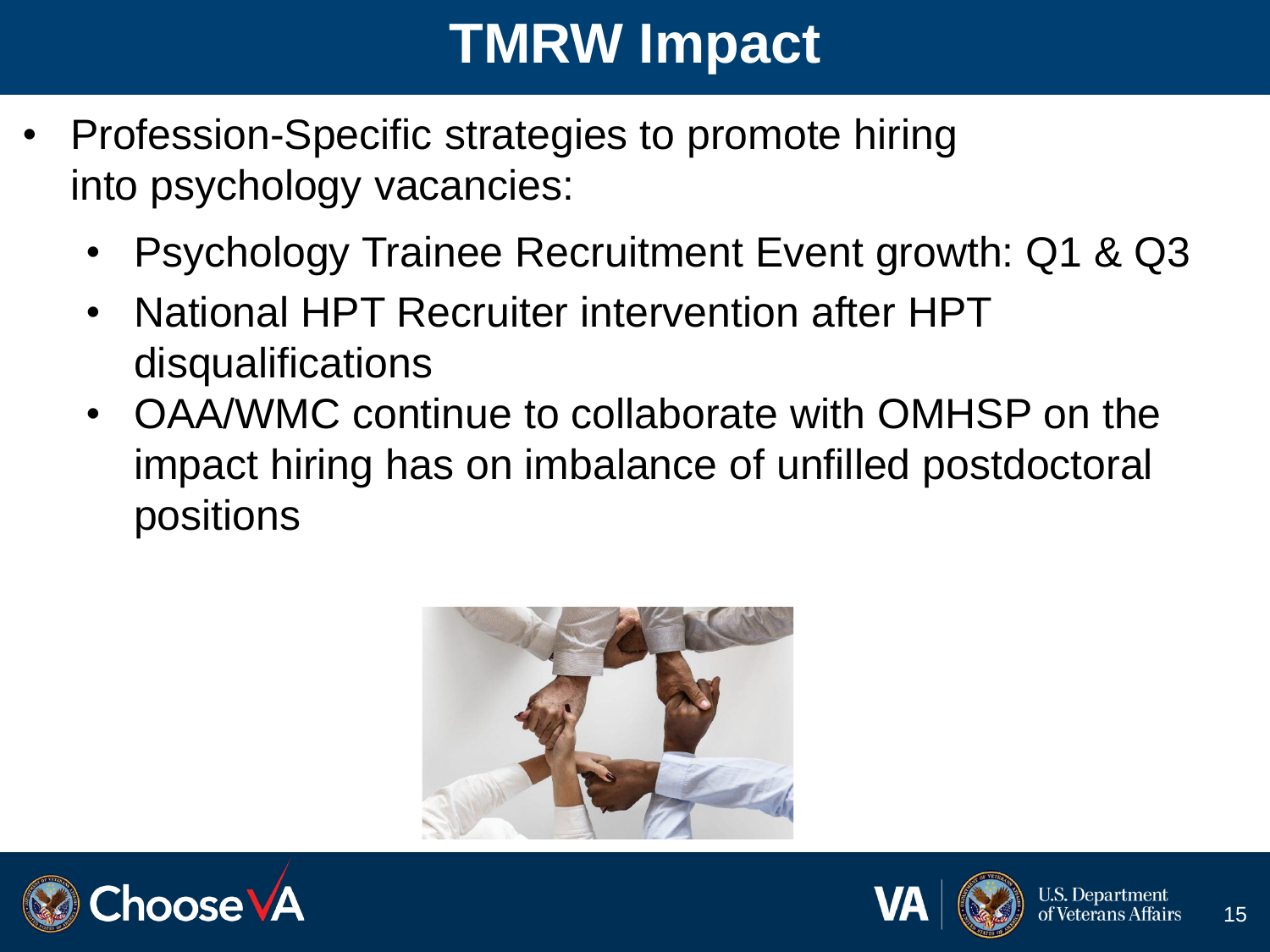### **TMRW Impact**

- Profession-Specific strategies to promote hiring into psychology vacancies:
	- Psychology Trainee Recruitment Event growth: Q1 & Q3
	- National HPT Recruiter intervention after HPT disqualifications
	- OAA/WMC continue to collaborate with OMHSP on the impact hiring has on imbalance of unfilled postdoctoral positions





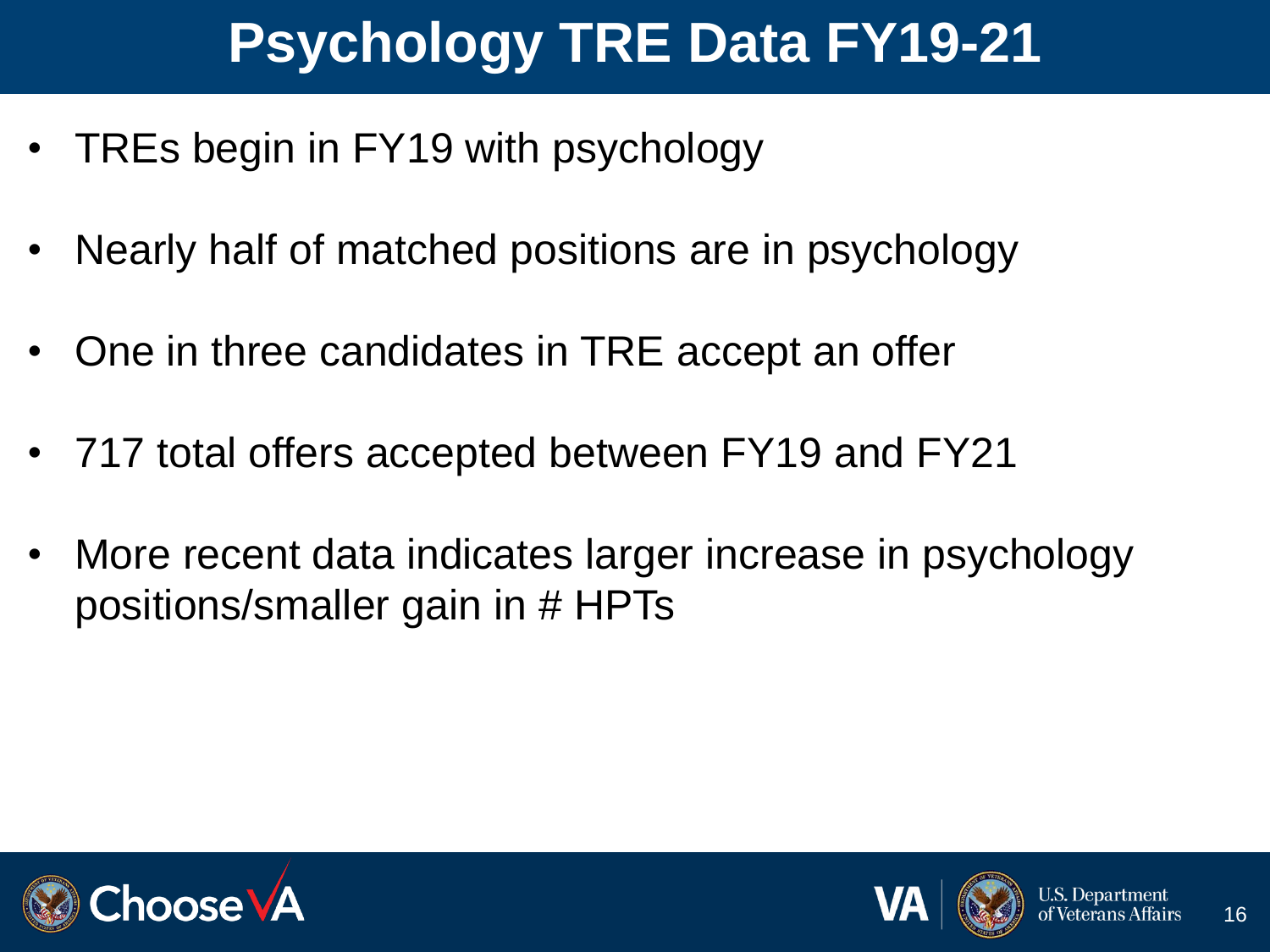# **Psychology TRE Data FY19-21**

- TREs begin in FY19 with psychology
- Nearly half of matched positions are in psychology
- One in three candidates in TRE accept an offer
- 717 total offers accepted between FY19 and FY21
- More recent data indicates larger increase in psychology positions/smaller gain in # HPTs



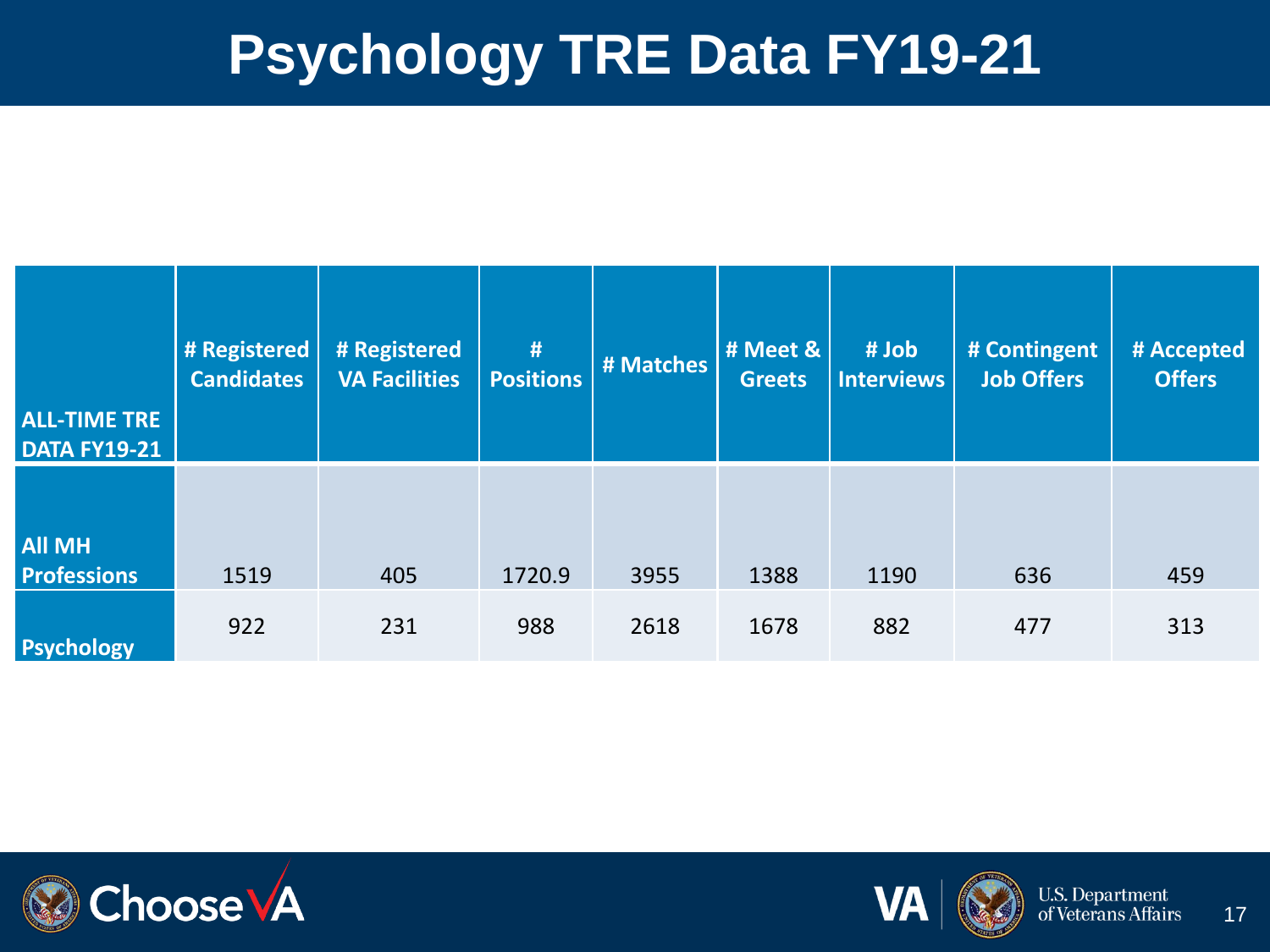#### **Psychology TRE Data FY19-21**

| <b>ALL-TIME TRE</b><br><b>DATA FY19-21</b> | # Registered<br><b>Candidates</b> | # Registered<br><b>VA Facilities</b> | #<br><b>Positions</b> | # Matches | # Meet &<br><b>Greets</b> | # Job<br><b>Interviews</b> | # Contingent<br><b>Job Offers</b> | # Accepted<br><b>Offers</b> |
|--------------------------------------------|-----------------------------------|--------------------------------------|-----------------------|-----------|---------------------------|----------------------------|-----------------------------------|-----------------------------|
| <b>All MH</b><br><b>Professions</b>        | 1519                              | 405                                  | 1720.9                | 3955      | 1388                      | 1190                       | 636                               | 459                         |
| <b>Psychology</b>                          | 922                               | 231                                  | 988                   | 2618      | 1678                      | 882                        | 477                               | 313                         |



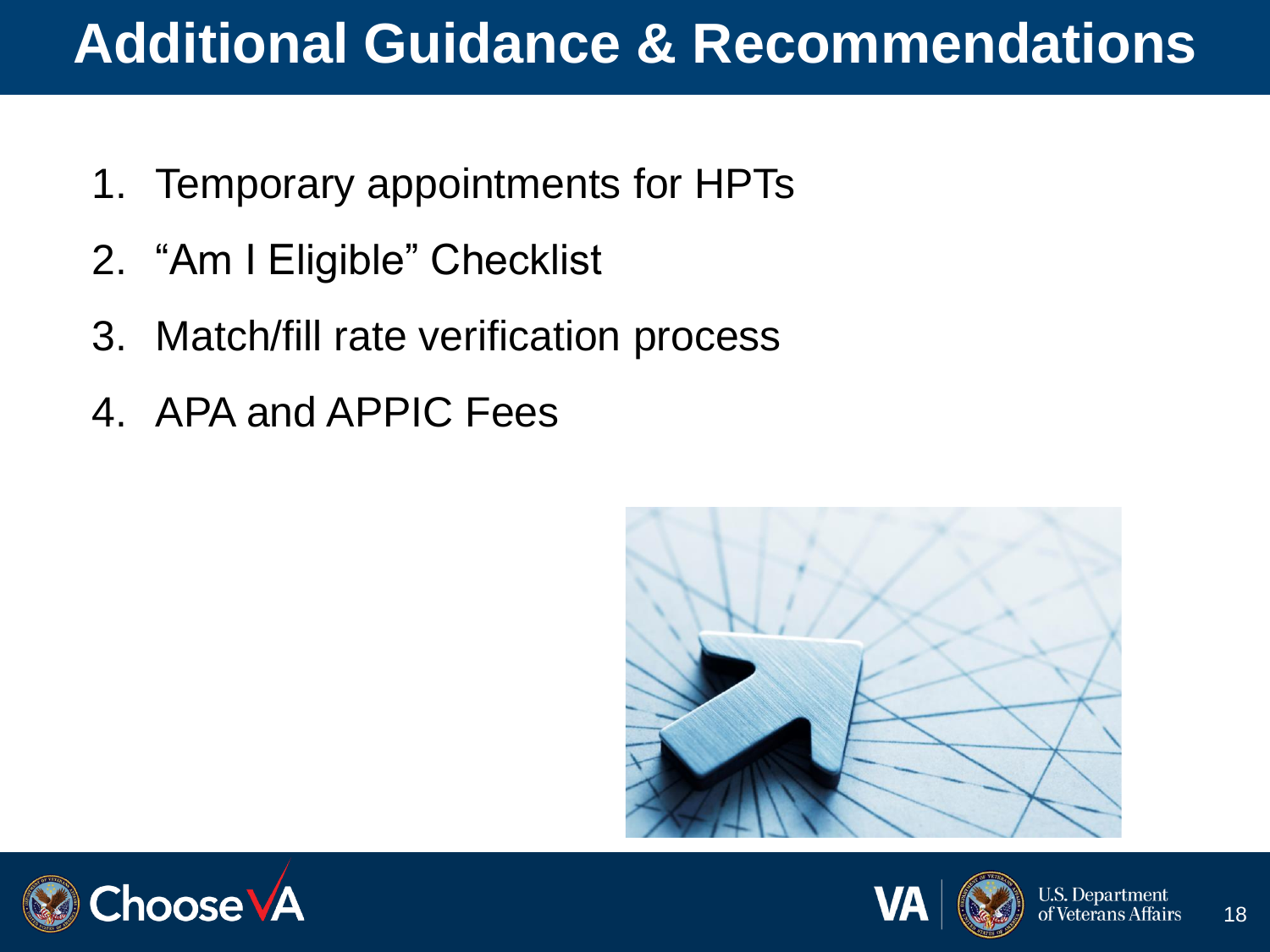#### **Additional Guidance & Recommendations**

- 1. Temporary appointments for HPTs
- 2. "Am I Eligible" Checklist
- 3. Match/fill rate verification process
- 4. APA and APPIC Fees





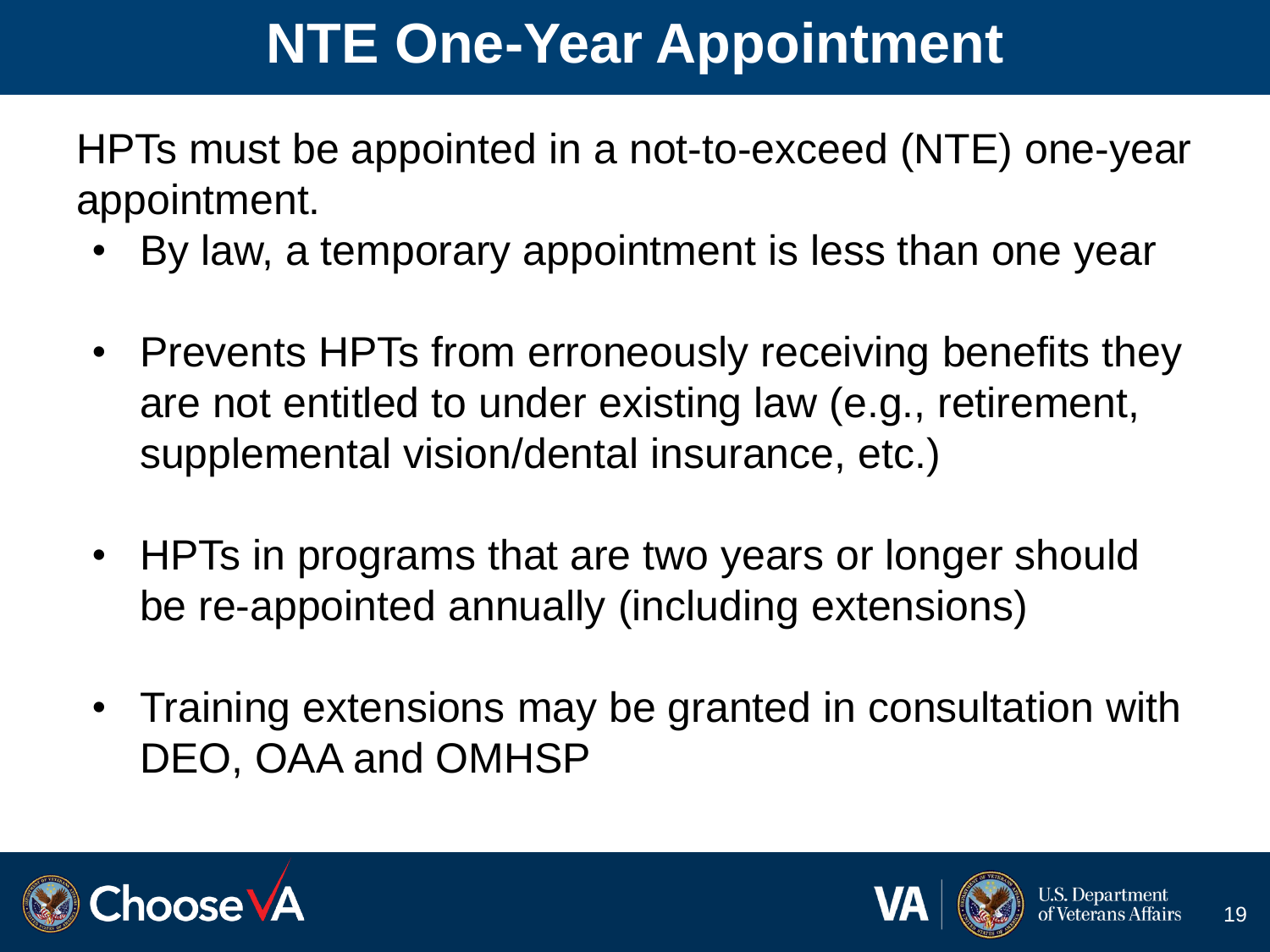### **NTE One-Year Appointment**

HPTs must be appointed in a not-to-exceed (NTE) one-year appointment.

- By law, a temporary appointment is less than one year
- Prevents HPTs from erroneously receiving benefits they are not entitled to under existing law (e.g., retirement, supplemental vision/dental insurance, etc.)
- HPTs in programs that are two years or longer should be re-appointed annually (including extensions)
- Training extensions may be granted in consultation with DEO, OAA and OMHSP



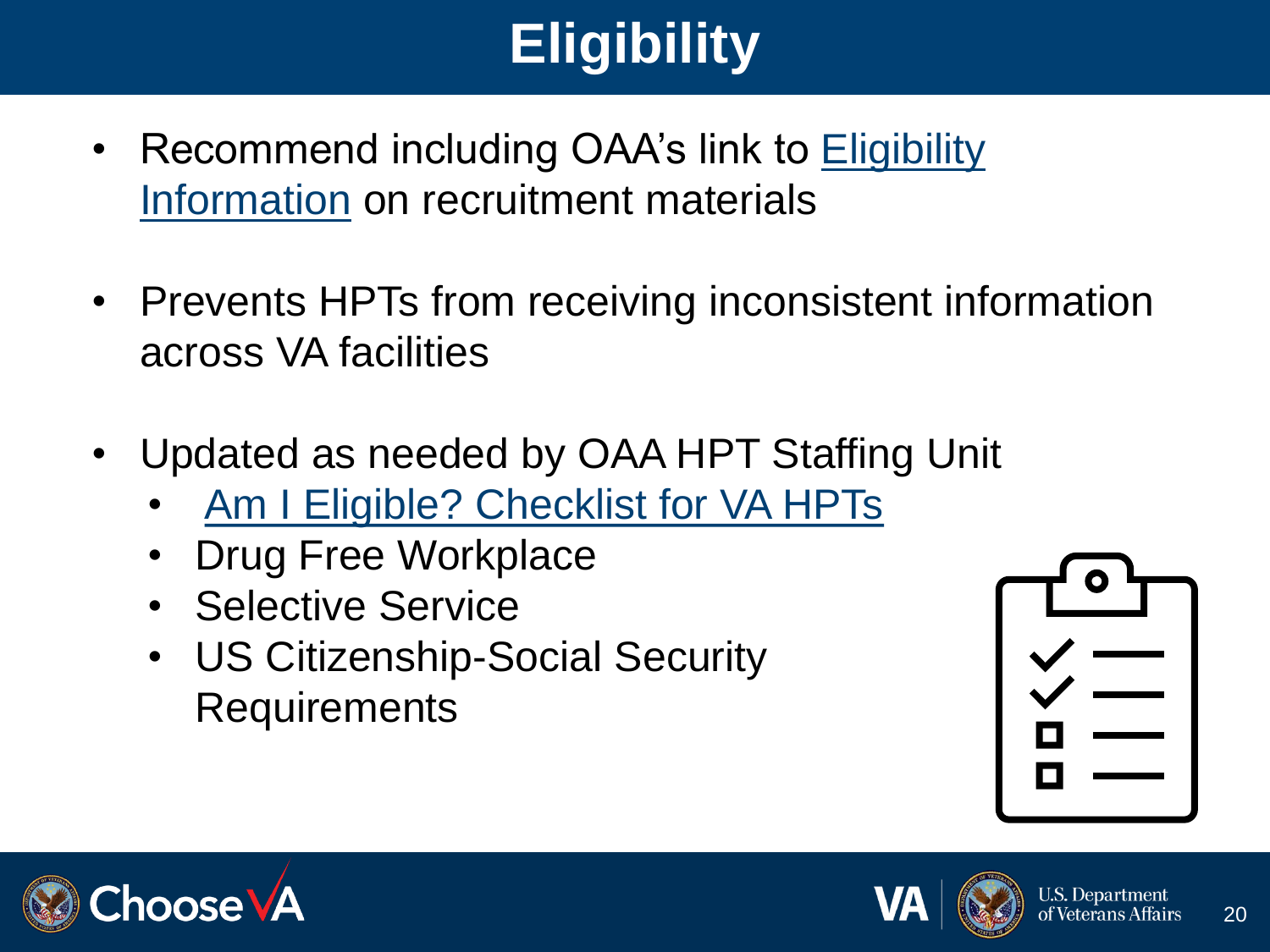# **Eligibility**

- [Recommend including OAA's link to Eligibility](https://www.va.gov/oaa/hpt-eligibility.asp)  Information on recruitment materials
- Prevents HPTs from receiving inconsistent information across VA facilities
- Updated as needed by OAA HPT Staffing Unit
	- [Am I Eligible? Checklist for VA HPTs](https://www.va.gov/OAA/docs/2021HPTInstructionsv4.pdf)
	- Drug Free Workplace
	- Selective Service
	- US Citizenship-Social Security **Requirements**







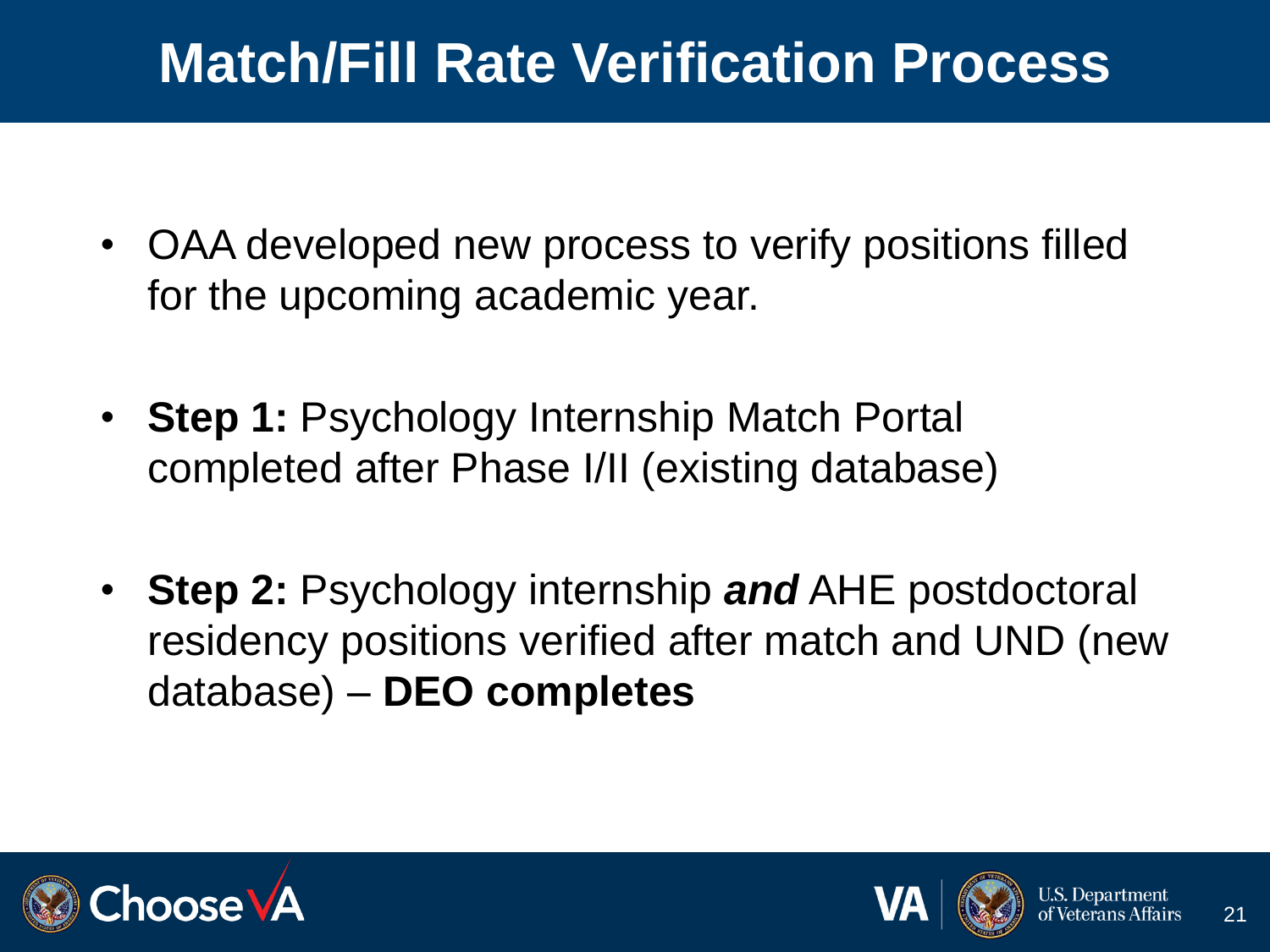#### **Match/Fill Rate Verification Process**

- OAA developed new process to verify positions filled for the upcoming academic year.
- **Step 1: Psychology Internship Match Portal** completed after Phase I/II (existing database)
- **Step 2:** Psychology internship *and* AHE postdoctoral residency positions verified after match and UND (new database) – **DEO completes**



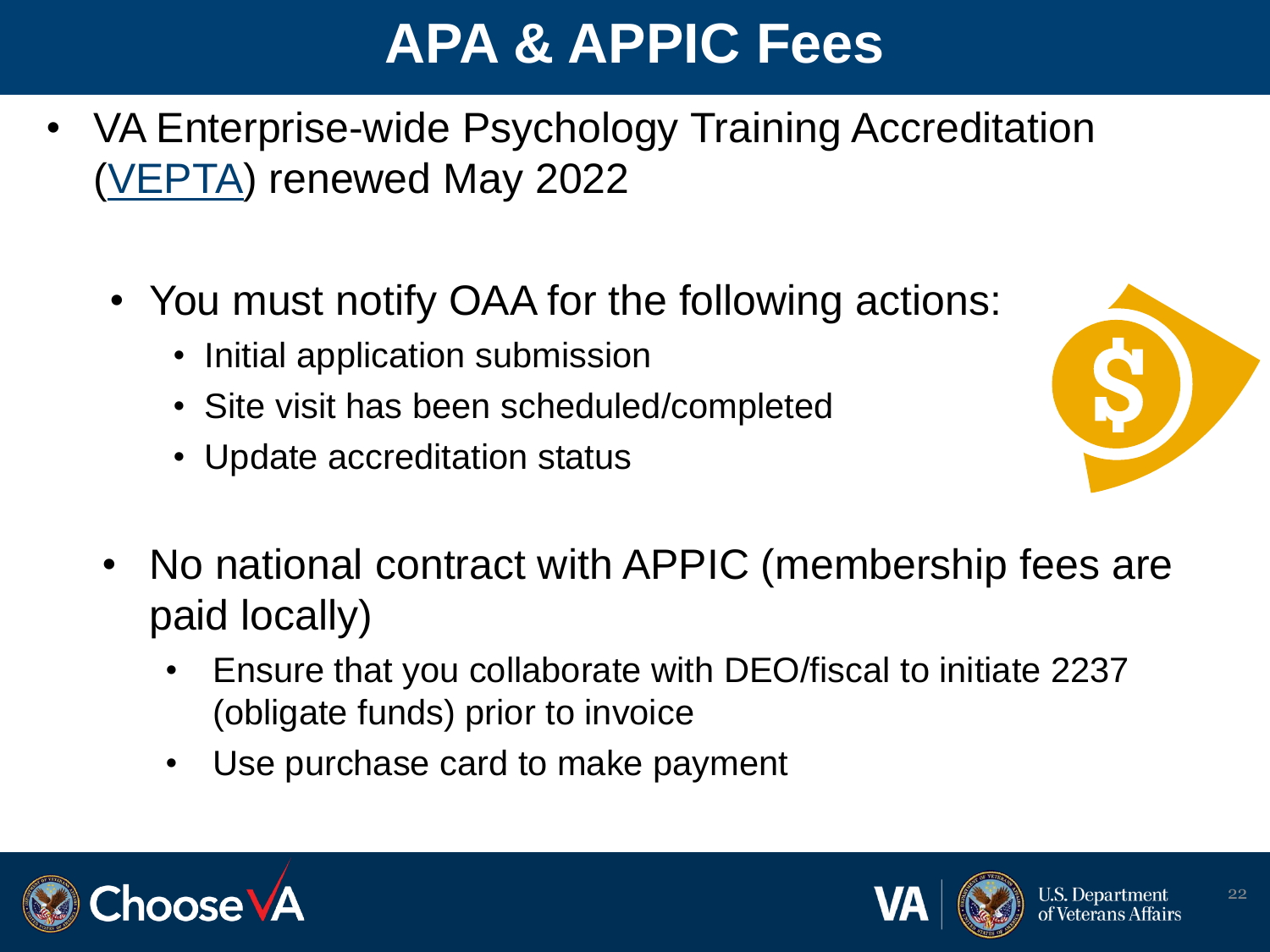### **APA & APPIC Fees**

- VA Enterprise-wide Psychology Training Accreditation [\(VEPTA](https://vaww.oaa.med.va.gov/VEPTA/)) renewed May 2022
	- You must notify OAA for the following actions:
		- Initial application submission
		- Site visit has been scheduled/completed
		- Update accreditation status



- No national contract with APPIC (membership fees are paid locally)
	- Ensure that you collaborate with DEO/fiscal to initiate 2237 (obligate funds) prior to invoice
	- Use purchase card to make payment



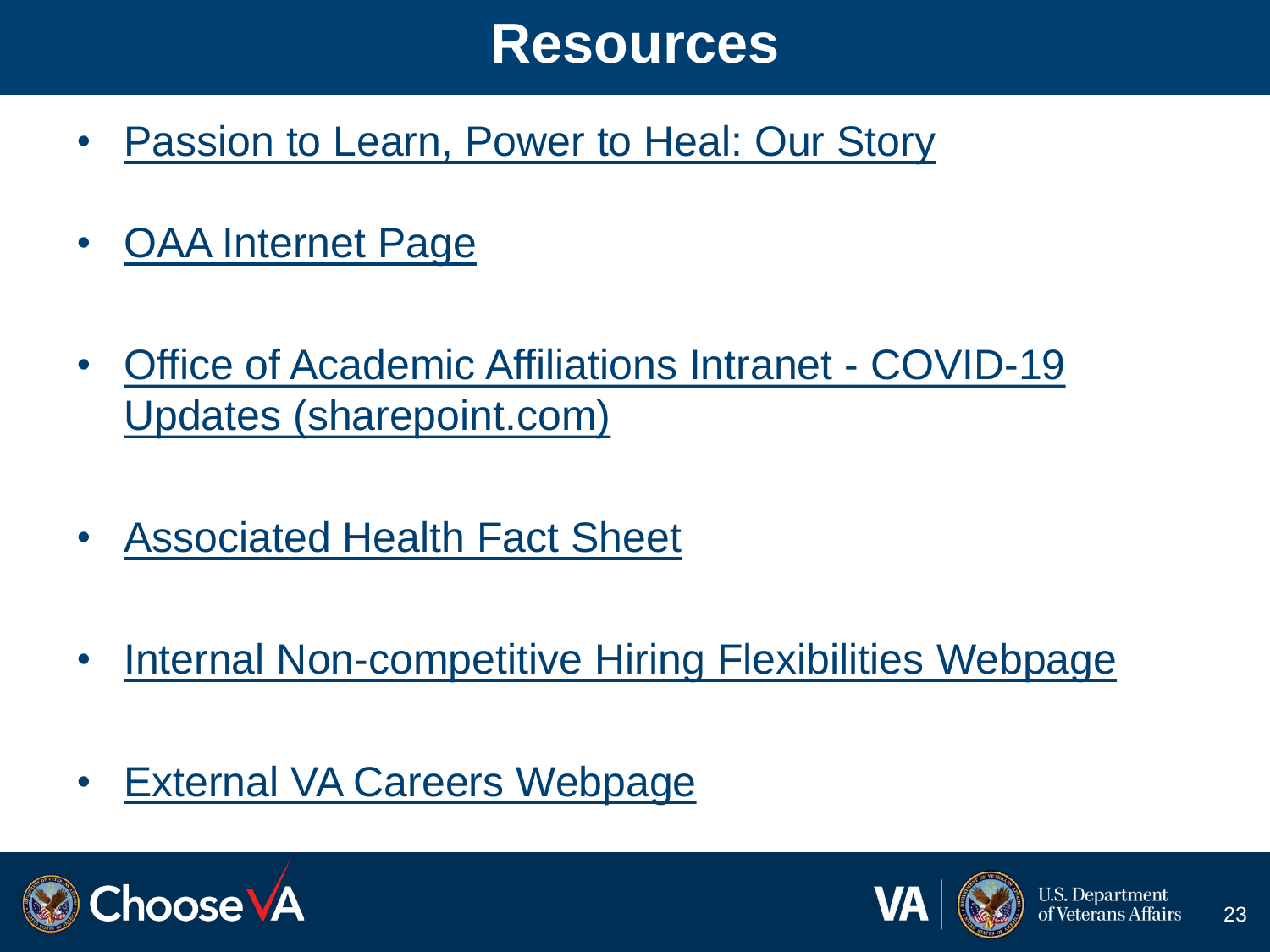#### **Resources**

- [Passion to Learn, Power to Heal: Our Story](https://content.yudu.com/web/448fx/0A448g9/75thAnniversary2021/html/index.html?origin=reader)
- [OAA Internet Page](https://www.va.gov/OAA/index.asp)
- [Office of Academic Affiliations Intranet -](https://gcc02.safelinks.protection.outlook.com/?url=https%3A%2F%2Fdvagov.sharepoint.com%2Fsites%2FVHAOAA%2Fpublic%2FSitePages%2FCOVID-19%2520Updates.aspx&data=05%7C01%7C%7Ce84ea60966c74dd574be08da2f90fe10%7Ce95f1b23abaf45ee821db7ab251ab3bf%7C0%7C0%7C637874597019714030%7CUnknown%7CTWFpbGZsb3d8eyJWIjoiMC4wLjAwMDAiLCJQIjoiV2luMzIiLCJBTiI6Ik1haWwiLCJXVCI6Mn0%3D%7C3000%7C%7C%7C&sdata=VM6DJ8EViNhe%2Fry7B%2BSECf0cyqUA2ru92rNnew5y9h4%3D&reserved=0) COVID-19 Updates (sharepoint.com)
- [Associated Health Fact Sheet](https://dvagov.sharepoint.com/sites/VHAOAA/public/Stats/Forms/Thumbnails.aspx?id=%2Fsites%2FVHAOAA%2Fpublic%2FStats%2FOAA%20Service%20Line%20Fact%20Sheet%5FAHE%5FCY22%20FINAL%2Epdf&parent=%2Fsites%2FVHAOAA%2Fpublic%2FStats)
- [Internal Non-competitive Hiring Flexibilities Webpage](https://dvagov.sharepoint.com/sites/VHAOAA/public/SitePages/CareerOpportunities.aspx)
- [External VA Careers Webpage](https://www.va.gov/oaa/careers.asp)